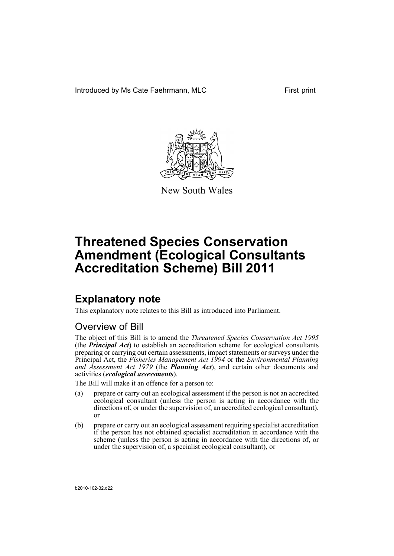Introduced by Ms Cate Faehrmann, MLC First print



New South Wales

# **Threatened Species Conservation Amendment (Ecological Consultants Accreditation Scheme) Bill 2011**

# **Explanatory note**

This explanatory note relates to this Bill as introduced into Parliament.

# Overview of Bill

The object of this Bill is to amend the *Threatened Species Conservation Act 1995* (the *Principal Act*) to establish an accreditation scheme for ecological consultants preparing or carrying out certain assessments, impact statements or surveys under the Principal Act, the *Fisheries Management Act 1994* or the *Environmental Planning and Assessment Act 1979* (the *Planning Act*), and certain other documents and activities (*ecological assessments*).

The Bill will make it an offence for a person to:

- (a) prepare or carry out an ecological assessment if the person is not an accredited ecological consultant (unless the person is acting in accordance with the directions of, or under the supervision of, an accredited ecological consultant), or
- (b) prepare or carry out an ecological assessment requiring specialist accreditation if the person has not obtained specialist accreditation in accordance with the scheme (unless the person is acting in accordance with the directions of, or under the supervision of, a specialist ecological consultant), or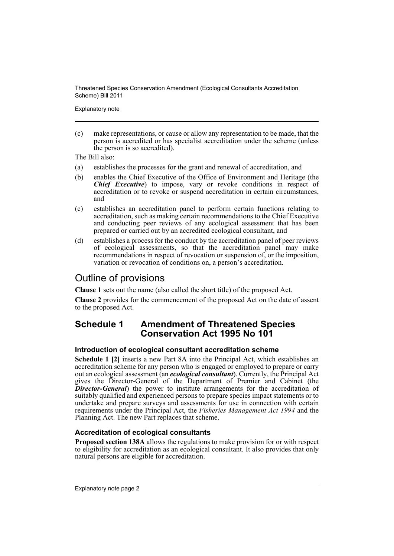Explanatory note

(c) make representations, or cause or allow any representation to be made, that the person is accredited or has specialist accreditation under the scheme (unless the person is so accredited).

The Bill also:

- (a) establishes the processes for the grant and renewal of accreditation, and
- (b) enables the Chief Executive of the Office of Environment and Heritage (the *Chief Executive*) to impose, vary or revoke conditions in respect of accreditation or to revoke or suspend accreditation in certain circumstances, and
- (c) establishes an accreditation panel to perform certain functions relating to accreditation, such as making certain recommendations to the Chief Executive and conducting peer reviews of any ecological assessment that has been prepared or carried out by an accredited ecological consultant, and
- (d) establishes a process for the conduct by the accreditation panel of peer reviews of ecological assessments, so that the accreditation panel may make recommendations in respect of revocation or suspension of, or the imposition, variation or revocation of conditions on, a person's accreditation.

## Outline of provisions

**Clause 1** sets out the name (also called the short title) of the proposed Act.

**Clause 2** provides for the commencement of the proposed Act on the date of assent to the proposed Act.

## **Schedule 1 Amendment of Threatened Species Conservation Act 1995 No 101**

## **Introduction of ecological consultant accreditation scheme**

**Schedule 1 [2]** inserts a new Part 8A into the Principal Act, which establishes an accreditation scheme for any person who is engaged or employed to prepare or carry out an ecological assessment (an *ecological consultant*). Currently, the Principal Act gives the Director-General of the Department of Premier and Cabinet (the *Director-General*) the power to institute arrangements for the accreditation of suitably qualified and experienced persons to prepare species impact statements or to undertake and prepare surveys and assessments for use in connection with certain requirements under the Principal Act, the *Fisheries Management Act 1994* and the Planning Act. The new Part replaces that scheme.

## **Accreditation of ecological consultants**

**Proposed section 138A** allows the regulations to make provision for or with respect to eligibility for accreditation as an ecological consultant. It also provides that only natural persons are eligible for accreditation.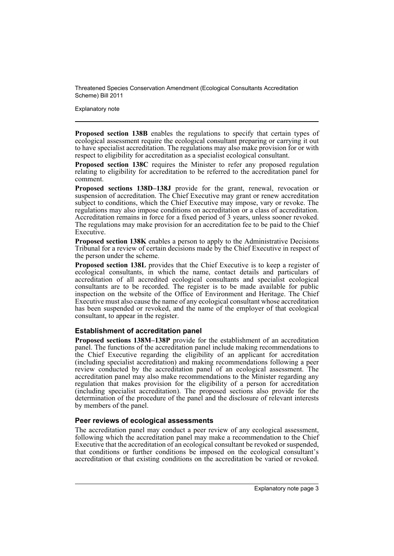Explanatory note

**Proposed section 138B** enables the regulations to specify that certain types of ecological assessment require the ecological consultant preparing or carrying it out to have specialist accreditation. The regulations may also make provision for or with respect to eligibility for accreditation as a specialist ecological consultant.

**Proposed section 138C** requires the Minister to refer any proposed regulation relating to eligibility for accreditation to be referred to the accreditation panel for comment.

**Proposed sections 138D–138J** provide for the grant, renewal, revocation or suspension of accreditation. The Chief Executive may grant or renew accreditation subject to conditions, which the Chief Executive may impose, vary or revoke. The regulations may also impose conditions on accreditation or a class of accreditation. Accreditation remains in force for a fixed period of 3 years, unless sooner revoked. The regulations may make provision for an accreditation fee to be paid to the Chief Executive.

**Proposed section 138K** enables a person to apply to the Administrative Decisions Tribunal for a review of certain decisions made by the Chief Executive in respect of the person under the scheme.

**Proposed section 138L** provides that the Chief Executive is to keep a register of ecological consultants, in which the name, contact details and particulars of accreditation of all accredited ecological consultants and specialist ecological consultants are to be recorded. The register is to be made available for public inspection on the website of the Office of Environment and Heritage. The Chief Executive must also cause the name of any ecological consultant whose accreditation has been suspended or revoked, and the name of the employer of that ecological consultant, to appear in the register.

#### **Establishment of accreditation panel**

**Proposed sections 138M–138P** provide for the establishment of an accreditation panel. The functions of the accreditation panel include making recommendations to the Chief Executive regarding the eligibility of an applicant for accreditation (including specialist accreditation) and making recommendations following a peer review conducted by the accreditation panel of an ecological assessment. The accreditation panel may also make recommendations to the Minister regarding any regulation that makes provision for the eligibility of a person for accreditation (including specialist accreditation). The proposed sections also provide for the determination of the procedure of the panel and the disclosure of relevant interests by members of the panel.

#### **Peer reviews of ecological assessments**

The accreditation panel may conduct a peer review of any ecological assessment, following which the accreditation panel may make a recommendation to the Chief Executive that the accreditation of an ecological consultant be revoked or suspended, that conditions or further conditions be imposed on the ecological consultant's accreditation or that existing conditions on the accreditation be varied or revoked.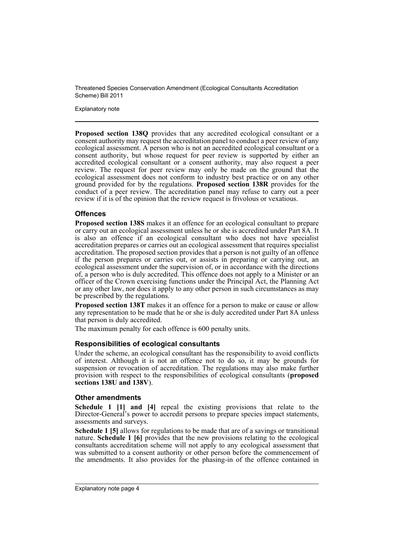Explanatory note

**Proposed section 138Q** provides that any accredited ecological consultant or a consent authority may request the accreditation panel to conduct a peer review of any ecological assessment. A person who is not an accredited ecological consultant or a consent authority, but whose request for peer review is supported by either an accredited ecological consultant or a consent authority, may also request a peer review. The request for peer review may only be made on the ground that the ecological assessment does not conform to industry best practice or on any other ground provided for by the regulations. **Proposed section 138R** provides for the conduct of a peer review. The accreditation panel may refuse to carry out a peer review if it is of the opinion that the review request is frivolous or vexatious.

### **Offences**

**Proposed section 138S** makes it an offence for an ecological consultant to prepare or carry out an ecological assessment unless he or she is accredited under Part 8A. It is also an offence if an ecological consultant who does not have specialist accreditation prepares or carries out an ecological assessment that requires specialist accreditation. The proposed section provides that a person is not guilty of an offence if the person prepares or carries out, or assists in preparing or carrying out, an ecological assessment under the supervision of, or in accordance with the directions of, a person who is duly accredited. This offence does not apply to a Minister or an officer of the Crown exercising functions under the Principal Act, the Planning Act or any other law, nor does it apply to any other person in such circumstances as may be prescribed by the regulations.

**Proposed section 138T** makes it an offence for a person to make or cause or allow any representation to be made that he or she is duly accredited under Part 8A unless that person is duly accredited.

The maximum penalty for each offence is 600 penalty units.

#### **Responsibilities of ecological consultants**

Under the scheme, an ecological consultant has the responsibility to avoid conflicts of interest. Although it is not an offence not to do so, it may be grounds for suspension or revocation of accreditation. The regulations may also make further provision with respect to the responsibilities of ecological consultants (**proposed sections 138U and 138V**).

#### **Other amendments**

**Schedule 1 [1] and [4]** repeal the existing provisions that relate to the Director-General's power to accredit persons to prepare species impact statements, assessments and surveys.

**Schedule 1 [5]** allows for regulations to be made that are of a savings or transitional nature. **Schedule 1 [6]** provides that the new provisions relating to the ecological consultants accreditation scheme will not apply to any ecological assessment that was submitted to a consent authority or other person before the commencement of the amendments. It also provides for the phasing-in of the offence contained in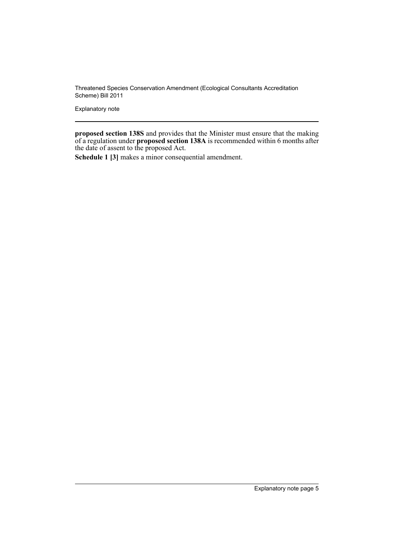Explanatory note

**proposed section 138S** and provides that the Minister must ensure that the making of a regulation under **proposed section 138A** is recommended within 6 months after the date of assent to the proposed Act.

**Schedule 1 [3]** makes a minor consequential amendment.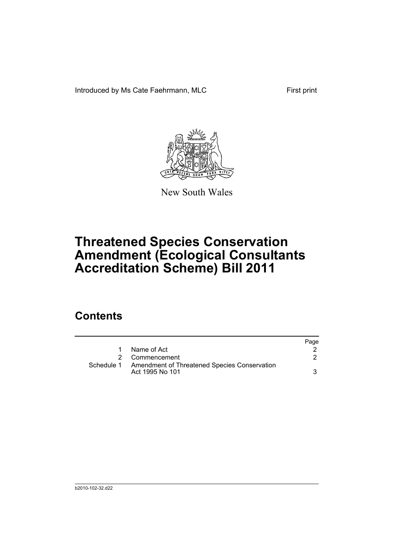Introduced by Ms Cate Faehrmann, MLC First print



New South Wales

# **Threatened Species Conservation Amendment (Ecological Consultants Accreditation Scheme) Bill 2011**

# **Contents**

|            |                                                                 | Page |
|------------|-----------------------------------------------------------------|------|
|            | Name of Act                                                     |      |
|            | Commencement                                                    |      |
| Schedule 1 | Amendment of Threatened Species Conservation<br>Act 1995 No 101 |      |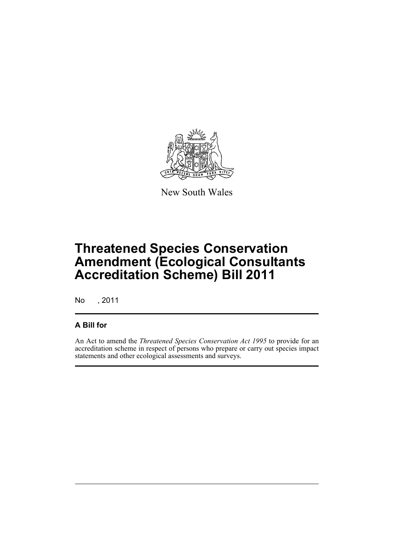

New South Wales

# **Threatened Species Conservation Amendment (Ecological Consultants Accreditation Scheme) Bill 2011**

No , 2011

## **A Bill for**

An Act to amend the *Threatened Species Conservation Act 1995* to provide for an accreditation scheme in respect of persons who prepare or carry out species impact statements and other ecological assessments and surveys.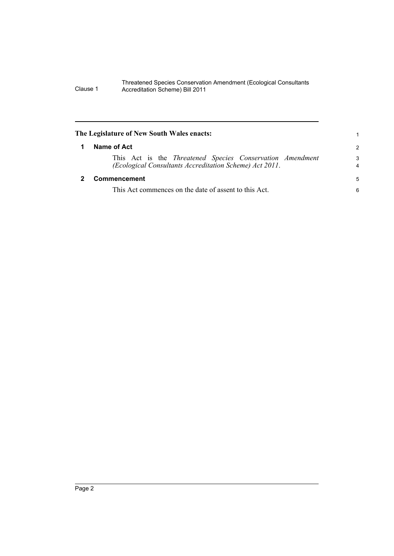<span id="page-9-1"></span><span id="page-9-0"></span>

| The Legislature of New South Wales enacts:                                                                           |                     |
|----------------------------------------------------------------------------------------------------------------------|---------------------|
| Name of Act                                                                                                          | $\mathcal{P}$       |
| This Act is the Threatened Species Conservation Amendment<br>(Ecological Consultants Accreditation Scheme) Act 2011. | 3<br>$\overline{4}$ |
| Commencement                                                                                                         | 5                   |
| This Act commences on the date of assent to this Act.                                                                | 6                   |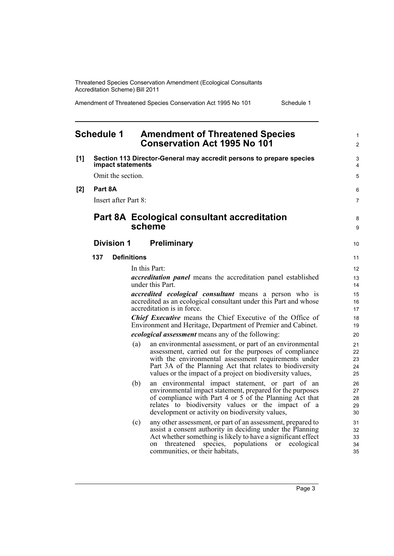Amendment of Threatened Species Conservation Act 1995 No 101 Schedule 1

#### <span id="page-10-0"></span>**Schedule 1 Amendment of Threatened Species Conservation Act 1995 No 101 [1] Section 113 Director-General may accredit persons to prepare species impact statements** Omit the section. **[2] Part 8A** Insert after Part 8: **Part 8A Ecological consultant accreditation scheme Division 1 Preliminary 137 Definitions** In this Part: *accreditation panel* means the accreditation panel established under this Part. *accredited ecological consultant* means a person who is accredited as an ecological consultant under this Part and whose accreditation is in force. *Chief Executive* means the Chief Executive of the Office of Environment and Heritage, Department of Premier and Cabinet. *ecological assessment* means any of the following: (a) an environmental assessment, or part of an environmental assessment, carried out for the purposes of compliance with the environmental assessment requirements under Part 3A of the Planning Act that relates to biodiversity values or the impact of a project on biodiversity values, (b) an environmental impact statement, or part of an environmental impact statement, prepared for the purposes of compliance with Part 4 or 5 of the Planning Act that relates to biodiversity values or the impact of a development or activity on biodiversity values, (c) any other assessment, or part of an assessment, prepared to assist a consent authority in deciding under the Planning Act whether something is likely to have a significant effect on threatened species, populations or ecological communities, or their habitats, 1  $\mathfrak{p}$  $\overline{a}$ 4 5 6 7 8 9 10 11 12 13 14 15 16 17 18 19  $20$ 21 22 23 24 25 26 27 28 29 30 31 32 33 34 35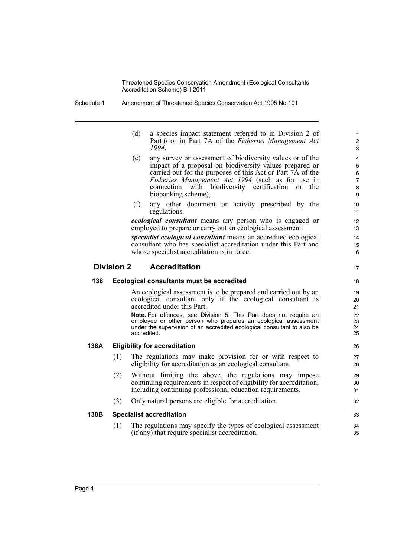Schedule 1 Amendment of Threatened Species Conservation Act 1995 No 101

| (d) | a species impact statement referred to in Division 2 of |
|-----|---------------------------------------------------------|
|     | Part 6 or in Part 7A of the Fisheries Management Act    |
|     | 1994.                                                   |

17

33 34 35

- (e) any survey or assessment of biodiversity values or of the impact of a proposal on biodiversity values prepared or carried out for the purposes of this Act or Part 7A of the *Fisheries Management Act 1994* (such as for use in connection with biodiversity certification or the biobanking scheme),
- (f) any other document or activity prescribed by the regulations.

*ecological consultant* means any person who is engaged or employed to prepare or carry out an ecological assessment.

*specialist ecological consultant* means an accredited ecological consultant who has specialist accreditation under this Part and whose specialist accreditation is in force.

### **Division 2 Accreditation**

# **138 Ecological consultants must be accredited**

An ecological assessment is to be prepared and carried out by an ecological consultant only if the ecological consultant is accredited under this Part.

**Note.** For offences, see Division 5. This Part does not require an employee or other person who prepares an ecological assessment under the supervision of an accredited ecological consultant to also be accredited.

## **138A Eligibility for accreditation**

- (1) The regulations may make provision for or with respect to eligibility for accreditation as an ecological consultant.
- (2) Without limiting the above, the regulations may impose continuing requirements in respect of eligibility for accreditation, including continuing professional education requirements.
- (3) Only natural persons are eligible for accreditation.

## **138B Specialist accreditation**

(1) The regulations may specify the types of ecological assessment (if any) that require specialist accreditation.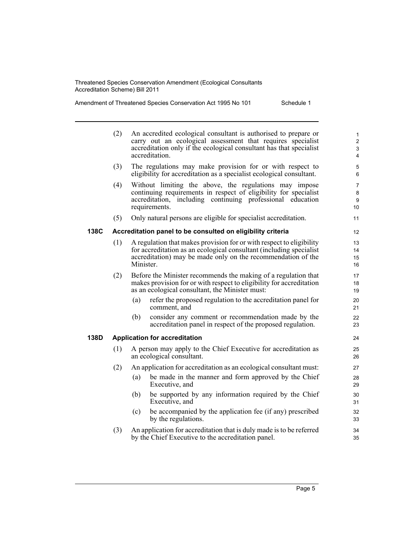Amendment of Threatened Species Conservation Act 1995 No 101

|  |  | Schedule 1 |  |  |  |
|--|--|------------|--|--|--|
|--|--|------------|--|--|--|

|      | (2) |           | An accredited ecological consultant is authorised to prepare or<br>carry out an ecological assessment that requires specialist<br>accreditation only if the ecological consultant has that specialist<br>accreditation. | $\mathbf{1}$<br>$\overline{\mathbf{c}}$<br>3<br>$\overline{\mathbf{4}}$ |
|------|-----|-----------|-------------------------------------------------------------------------------------------------------------------------------------------------------------------------------------------------------------------------|-------------------------------------------------------------------------|
|      | (3) |           | The regulations may make provision for or with respect to<br>eligibility for accreditation as a specialist ecological consultant.                                                                                       | 5<br>6                                                                  |
|      | (4) |           | Without limiting the above, the regulations may impose<br>continuing requirements in respect of eligibility for specialist<br>accreditation, including continuing professional education<br>requirements.               | $\overline{7}$<br>8<br>9<br>10                                          |
|      | (5) |           | Only natural persons are eligible for specialist accreditation.                                                                                                                                                         | 11                                                                      |
| 138C |     |           | Accreditation panel to be consulted on eligibility criteria                                                                                                                                                             | 12                                                                      |
|      | (1) | Minister. | A regulation that makes provision for or with respect to eligibility<br>for accreditation as an ecological consultant (including specialist<br>accreditation) may be made only on the recommendation of the             | 13<br>14<br>15<br>16                                                    |
|      | (2) |           | Before the Minister recommends the making of a regulation that<br>makes provision for or with respect to eligibility for accreditation<br>as an ecological consultant, the Minister must:                               | 17<br>18<br>19                                                          |
|      |     | (a)       | refer the proposed regulation to the accreditation panel for<br>comment, and                                                                                                                                            | 20<br>21                                                                |
|      |     | (b)       | consider any comment or recommendation made by the<br>accreditation panel in respect of the proposed regulation.                                                                                                        | 22<br>23                                                                |
| 138D |     |           | <b>Application for accreditation</b>                                                                                                                                                                                    | 24                                                                      |
|      | (1) |           | A person may apply to the Chief Executive for accreditation as<br>an ecological consultant.                                                                                                                             | 25<br>26                                                                |
|      | (2) |           | An application for accreditation as an ecological consultant must:                                                                                                                                                      | 27                                                                      |
|      |     | (a)       | be made in the manner and form approved by the Chief<br>Executive, and                                                                                                                                                  | 28<br>29                                                                |
|      |     | (b)       | be supported by any information required by the Chief<br>Executive, and                                                                                                                                                 | 30<br>31                                                                |
|      |     | (c)       | be accompanied by the application fee (if any) prescribed<br>by the regulations.                                                                                                                                        | 32<br>33                                                                |
|      | (3) |           | An application for accreditation that is duly made is to be referred                                                                                                                                                    | 34                                                                      |

by the Chief Executive to the accreditation panel.

35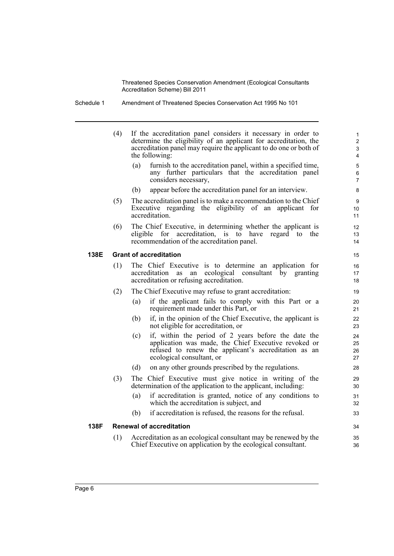Schedule 1 Amendment of Threatened Species Conservation Act 1995 No 101

|      | (4) | If the accreditation panel considers it necessary in order to<br>determine the eligibility of an applicant for accreditation, the<br>accreditation panel may require the applicant to do one or both of<br>the following: | $\mathbf{1}$<br>$\overline{2}$<br>$\mathfrak{S}$<br>$\overline{4}$ |
|------|-----|---------------------------------------------------------------------------------------------------------------------------------------------------------------------------------------------------------------------------|--------------------------------------------------------------------|
|      |     | furnish to the accreditation panel, within a specified time,<br>(a)<br>any further particulars that the accreditation panel<br>considers necessary,                                                                       | $\mathbf 5$<br>6<br>$\overline{7}$                                 |
|      |     | appear before the accreditation panel for an interview.<br>(b)                                                                                                                                                            | 8                                                                  |
|      | (5) | The accreditation panel is to make a recommendation to the Chief<br>Executive regarding the eligibility of an applicant for<br>accreditation.                                                                             | 9<br>10<br>11                                                      |
|      | (6) | The Chief Executive, in determining whether the applicant is<br>eligible for accreditation, is to have regard to the<br>recommendation of the accreditation panel.                                                        | 12<br>13<br>14                                                     |
| 138E |     | <b>Grant of accreditation</b>                                                                                                                                                                                             | 15                                                                 |
|      | (1) | The Chief Executive is to determine an application for<br>ecological consultant by granting<br>accreditation as<br>an<br>accreditation or refusing accreditation.                                                         | 16<br>17<br>18                                                     |
|      | (2) | The Chief Executive may refuse to grant accreditation:                                                                                                                                                                    | 19                                                                 |
|      |     | if the applicant fails to comply with this Part or a<br>(a)<br>requirement made under this Part, or                                                                                                                       | 20<br>21                                                           |
|      |     | (b)<br>if, in the opinion of the Chief Executive, the applicant is<br>not eligible for accreditation, or                                                                                                                  | 22<br>23                                                           |
|      |     | if, within the period of 2 years before the date the<br>(c)<br>application was made, the Chief Executive revoked or<br>refused to renew the applicant's accreditation as an<br>ecological consultant, or                  | 24<br>25<br>26<br>27                                               |
|      |     | on any other grounds prescribed by the regulations.<br>(d)                                                                                                                                                                | 28                                                                 |
|      | (3) | The Chief Executive must give notice in writing of the<br>determination of the application to the applicant, including:                                                                                                   | 29<br>30                                                           |
|      |     | if accreditation is granted, notice of any conditions to<br>(a)<br>which the accreditation is subject, and                                                                                                                | 31<br>32                                                           |
|      |     | if accreditation is refused, the reasons for the refusal.<br>(b)                                                                                                                                                          | 33                                                                 |
| 138F |     | <b>Renewal of accreditation</b>                                                                                                                                                                                           | 34                                                                 |
|      | (1) | Accreditation as an ecological consultant may be renewed by the<br>Chief Executive on application by the ecological consultant.                                                                                           | 35<br>36                                                           |
|      |     |                                                                                                                                                                                                                           |                                                                    |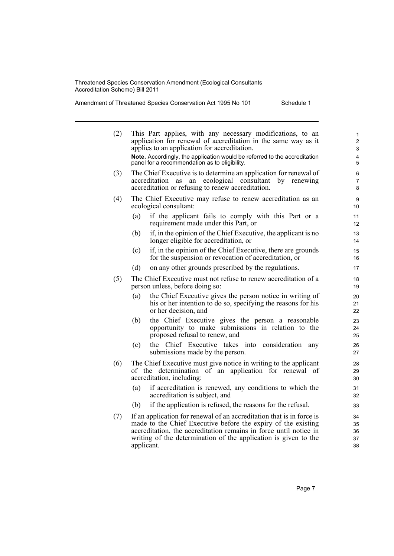applicant.

Amendment of Threatened Species Conservation Act 1995 No 101 Schedule 1

| (2) | This Part applies, with any necessary modifications, to an<br>application for renewal of accreditation in the same way as it<br>applies to an application for accreditation.<br>Note. Accordingly, the application would be referred to the accreditation<br>panel for a recommendation as to eligibility. | 1<br>$\overline{2}$<br>3<br>$\overline{4}$<br>5 |
|-----|------------------------------------------------------------------------------------------------------------------------------------------------------------------------------------------------------------------------------------------------------------------------------------------------------------|-------------------------------------------------|
| (3) | The Chief Executive is to determine an application for renewal of<br>an ecological consultant<br>by renewing<br>accreditation<br>as<br>accreditation or refusing to renew accreditation.                                                                                                                   | 6<br>$\overline{7}$<br>8                        |
| (4) | The Chief Executive may refuse to renew accreditation as an<br>ecological consultant:                                                                                                                                                                                                                      | 9<br>10                                         |
|     | if the applicant fails to comply with this Part or a<br>(a)<br>requirement made under this Part, or                                                                                                                                                                                                        | 11<br>12                                        |
|     | (b)<br>if, in the opinion of the Chief Executive, the applicant is no<br>longer eligible for accreditation, or                                                                                                                                                                                             | 13<br>14                                        |
|     | if, in the opinion of the Chief Executive, there are grounds<br>(c)<br>for the suspension or revocation of accreditation, or                                                                                                                                                                               | 15<br>16                                        |
|     | on any other grounds prescribed by the regulations.<br>(d)                                                                                                                                                                                                                                                 | 17                                              |
| (5) | The Chief Executive must not refuse to renew accreditation of a<br>person unless, before doing so:                                                                                                                                                                                                         | 18<br>19                                        |
|     | the Chief Executive gives the person notice in writing of<br>(a)<br>his or her intention to do so, specifying the reasons for his<br>or her decision, and                                                                                                                                                  | 20<br>21<br>22                                  |
|     | the Chief Executive gives the person a reasonable<br>(b)<br>opportunity to make submissions in relation to the<br>proposed refusal to renew, and                                                                                                                                                           | 23<br>24<br>25                                  |
|     | Chief Executive takes into consideration<br>(c)<br>the<br>any<br>submissions made by the person.                                                                                                                                                                                                           | 26<br>27                                        |
| (6) | The Chief Executive must give notice in writing to the applicant<br>of the determination of an application for renewal of<br>accreditation, including:                                                                                                                                                     | 28<br>29<br>30                                  |
|     | if accreditation is renewed, any conditions to which the<br>(a)<br>accreditation is subject, and                                                                                                                                                                                                           | 31<br>32                                        |
|     | if the application is refused, the reasons for the refusal.<br>(b)                                                                                                                                                                                                                                         | 33                                              |
| (7) | If an application for renewal of an accreditation that is in force is<br>made to the Chief Executive before the expiry of the existing<br>accreditation, the accreditation remains in force until notice in<br>writing of the determination of the application is given to the                             | 34<br>35<br>36<br>37                            |

38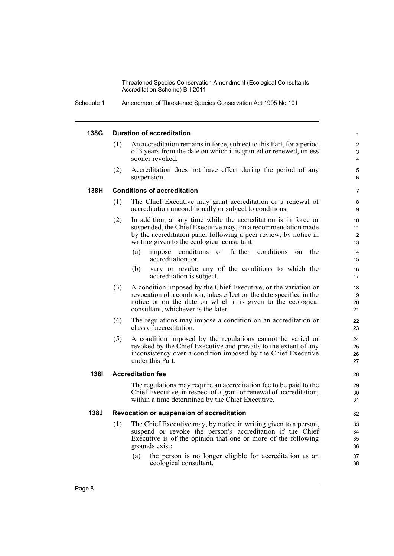Schedule 1 Amendment of Threatened Species Conservation Act 1995 No 101

#### **138G Duration of accreditation**

- An accreditation remains in force, subject to this Part, for a period of 3 years from the date on which it is granted or renewed, unless sooner revoked.
- (2) Accreditation does not have effect during the period of any suspension.

7

#### **138H Conditions of accreditation**

- (1) The Chief Executive may grant accreditation or a renewal of accreditation unconditionally or subject to conditions.
- (2) In addition, at any time while the accreditation is in force or suspended, the Chief Executive may, on a recommendation made by the accreditation panel following a peer review, by notice in writing given to the ecological consultant:
	- (a) impose conditions or further conditions on the accreditation, or
	- (b) vary or revoke any of the conditions to which the accreditation is subject.
- (3) A condition imposed by the Chief Executive, or the variation or revocation of a condition, takes effect on the date specified in the notice or on the date on which it is given to the ecological consultant, whichever is the later.
- (4) The regulations may impose a condition on an accreditation or class of accreditation.
- (5) A condition imposed by the regulations cannot be varied or revoked by the Chief Executive and prevails to the extent of any inconsistency over a condition imposed by the Chief Executive under this Part.

#### **138I Accreditation fee**

The regulations may require an accreditation fee to be paid to the Chief Executive, in respect of a grant or renewal of accreditation, within a time determined by the Chief Executive.

#### **138J Revocation or suspension of accreditation**

- (1) The Chief Executive may, by notice in writing given to a person, suspend or revoke the person's accreditation if the Chief Executive is of the opinion that one or more of the following grounds exist:
	- (a) the person is no longer eligible for accreditation as an ecological consultant,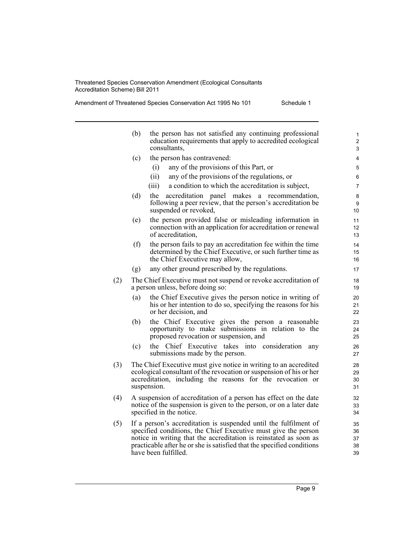Amendment of Threatened Species Conservation Act 1995 No 101 Schedule 1

|     | (b)                                                                                                                                                                 | the person has not satisfied any continuing professional<br>education requirements that apply to accredited ecological<br>consultants,                                                                                                                                                                    | 1<br>$\overline{2}$<br>3   |
|-----|---------------------------------------------------------------------------------------------------------------------------------------------------------------------|-----------------------------------------------------------------------------------------------------------------------------------------------------------------------------------------------------------------------------------------------------------------------------------------------------------|----------------------------|
|     | (c)                                                                                                                                                                 | the person has contravened:                                                                                                                                                                                                                                                                               | 4                          |
|     |                                                                                                                                                                     | any of the provisions of this Part, or<br>(i)                                                                                                                                                                                                                                                             | 5                          |
|     |                                                                                                                                                                     | any of the provisions of the regulations, or<br>(ii)                                                                                                                                                                                                                                                      | 6                          |
|     |                                                                                                                                                                     | (iii)<br>a condition to which the accreditation is subject,                                                                                                                                                                                                                                               | 7                          |
|     | (d)                                                                                                                                                                 | accreditation panel makes a recommendation,<br>the<br>following a peer review, that the person's accreditation be<br>suspended or revoked,                                                                                                                                                                | 8<br>9<br>10               |
|     | (e)                                                                                                                                                                 | the person provided false or misleading information in<br>connection with an application for accreditation or renewal<br>of accreditation,                                                                                                                                                                | 11<br>12<br>13             |
|     | (f)                                                                                                                                                                 | the person fails to pay an accreditation fee within the time<br>determined by the Chief Executive, or such further time as<br>the Chief Executive may allow,                                                                                                                                              | 14<br>15<br>16             |
|     | (g)                                                                                                                                                                 | any other ground prescribed by the regulations.                                                                                                                                                                                                                                                           | 17                         |
| (2) |                                                                                                                                                                     | The Chief Executive must not suspend or revoke accreditation of<br>a person unless, before doing so:                                                                                                                                                                                                      | 18<br>19                   |
|     | (a)                                                                                                                                                                 | the Chief Executive gives the person notice in writing of<br>his or her intention to do so, specifying the reasons for his<br>or her decision, and                                                                                                                                                        | 20<br>21<br>22             |
|     | (b)                                                                                                                                                                 | the Chief Executive gives the person a reasonable<br>opportunity to make submissions in relation to the<br>proposed revocation or suspension, and                                                                                                                                                         | 23<br>24<br>25             |
|     | (c)                                                                                                                                                                 | Chief Executive takes into consideration<br>the<br>any<br>submissions made by the person.                                                                                                                                                                                                                 | 26<br>27                   |
| (3) |                                                                                                                                                                     | The Chief Executive must give notice in writing to an accredited<br>ecological consultant of the revocation or suspension of his or her<br>accreditation, including the reasons for the revocation or<br>suspension.                                                                                      | 28<br>29<br>30<br>31       |
| (4) | A suspension of accreditation of a person has effect on the date<br>notice of the suspension is given to the person, or on a later date<br>specified in the notice. |                                                                                                                                                                                                                                                                                                           |                            |
| (5) |                                                                                                                                                                     | If a person's accreditation is suspended until the fulfilment of<br>specified conditions, the Chief Executive must give the person<br>notice in writing that the accreditation is reinstated as soon as<br>practicable after he or she is satisfied that the specified conditions<br>have been fulfilled. | 35<br>36<br>37<br>38<br>39 |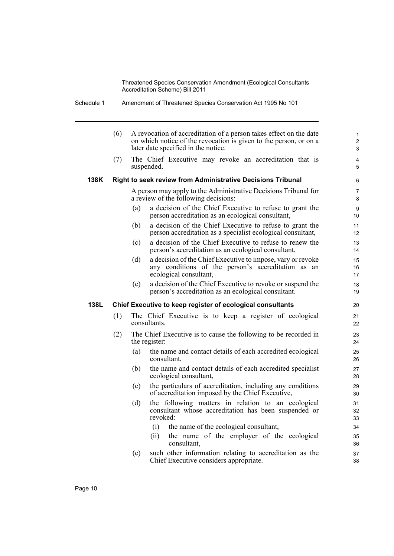Schedule 1 Amendment of Threatened Species Conservation Act 1995 No 101

|      | (6) |     | A revocation of accreditation of a person takes effect on the date<br>on which notice of the revocation is given to the person, or on a<br>later date specified in the notice. | $\mathbf{1}$<br>$\overline{c}$<br>3 |
|------|-----|-----|--------------------------------------------------------------------------------------------------------------------------------------------------------------------------------|-------------------------------------|
|      | (7) |     | The Chief Executive may revoke an accreditation that is<br>suspended.                                                                                                          | $\overline{4}$<br>5                 |
| 138K |     |     | <b>Right to seek review from Administrative Decisions Tribunal</b>                                                                                                             | 6                                   |
|      |     |     | A person may apply to the Administrative Decisions Tribunal for<br>a review of the following decisions:                                                                        | $\overline{7}$<br>8                 |
|      |     | (a) | a decision of the Chief Executive to refuse to grant the<br>person accreditation as an ecological consultant,                                                                  | 9<br>10 <sup>°</sup>                |
|      |     | (b) | a decision of the Chief Executive to refuse to grant the<br>person accreditation as a specialist ecological consultant,                                                        | 11<br>12 <sup>2</sup>               |
|      |     | (c) | a decision of the Chief Executive to refuse to renew the<br>person's accreditation as an ecological consultant,                                                                | 13<br>14                            |
|      |     | (d) | a decision of the Chief Executive to impose, vary or revoke<br>any conditions of the person's accreditation as an<br>ecological consultant,                                    | 15<br>16<br>17                      |
|      |     | (e) | a decision of the Chief Executive to revoke or suspend the<br>person's accreditation as an ecological consultant.                                                              | 18<br>19                            |
| 138L |     |     | Chief Executive to keep register of ecological consultants                                                                                                                     | 20                                  |
|      | (1) |     | The Chief Executive is to keep a register of ecological<br>consultants.                                                                                                        | 21<br>22                            |
|      | (2) |     | The Chief Executive is to cause the following to be recorded in<br>the register:                                                                                               | 23<br>24                            |
|      |     | (a) | the name and contact details of each accredited ecological                                                                                                                     | 25<br>26                            |
|      |     |     | consultant,                                                                                                                                                                    |                                     |
|      |     | (b) | the name and contact details of each accredited specialist<br>ecological consultant,                                                                                           | 27<br>28                            |
|      |     | (c) | the particulars of accreditation, including any conditions<br>of accreditation imposed by the Chief Executive,                                                                 | 29<br>30                            |
|      |     | (d) | the following matters in relation to an ecological<br>consultant whose accreditation has been suspended or<br>revoked:                                                         | 31<br>32<br>33                      |
|      |     |     | the name of the ecological consultant,<br>(i)                                                                                                                                  | 34                                  |
|      |     |     | the name of the employer of the ecological<br>(ii)<br>consultant,                                                                                                              | 35<br>36                            |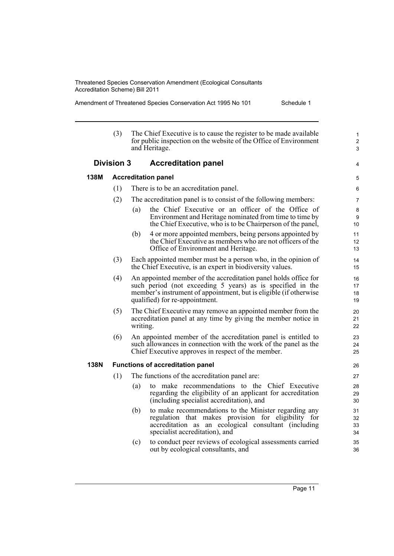÷.

Amendment of Threatened Species Conservation Act 1995 No 101 Schedule 1

|                                                 | (3) | The Chief Executive is to cause the register to be made available<br>for public inspection on the website of the Office of Environment<br>and Heritage.                                                                              | $\mathbf{1}$<br>$\overline{c}$<br>3 |  |  |  |
|-------------------------------------------------|-----|--------------------------------------------------------------------------------------------------------------------------------------------------------------------------------------------------------------------------------------|-------------------------------------|--|--|--|
| <b>Division 3</b><br><b>Accreditation panel</b> |     |                                                                                                                                                                                                                                      |                                     |  |  |  |
| 138M                                            |     | <b>Accreditation panel</b>                                                                                                                                                                                                           | 5                                   |  |  |  |
|                                                 | (1) | There is to be an accreditation panel.                                                                                                                                                                                               | 6                                   |  |  |  |
|                                                 | (2) | The accreditation panel is to consist of the following members:                                                                                                                                                                      | 7                                   |  |  |  |
|                                                 |     | the Chief Executive or an officer of the Office of<br>(a)<br>Environment and Heritage nominated from time to time by<br>the Chief Executive, who is to be Chairperson of the panel,                                                  | 8<br>9<br>10                        |  |  |  |
|                                                 |     | (b)<br>4 or more appointed members, being persons appointed by<br>the Chief Executive as members who are not officers of the<br>Office of Environment and Heritage.                                                                  | 11<br>12<br>13                      |  |  |  |
|                                                 | (3) | Each appointed member must be a person who, in the opinion of<br>the Chief Executive, is an expert in biodiversity values.                                                                                                           | 14<br>15                            |  |  |  |
|                                                 | (4) | An appointed member of the accreditation panel holds office for<br>such period (not exceeding 5 years) as is specified in the<br>member's instrument of appointment, but is eligible (if otherwise<br>qualified) for re-appointment. | 16<br>17<br>18<br>19                |  |  |  |
|                                                 | (5) | The Chief Executive may remove an appointed member from the<br>accreditation panel at any time by giving the member notice in<br>writing.                                                                                            | 20<br>21<br>22                      |  |  |  |
|                                                 | (6) | An appointed member of the accreditation panel is entitled to<br>such allowances in connection with the work of the panel as the<br>Chief Executive approves in respect of the member.                                               | 23<br>24<br>25                      |  |  |  |
| <b>138N</b>                                     |     | <b>Functions of accreditation panel</b>                                                                                                                                                                                              | 26                                  |  |  |  |
|                                                 | (1) | The functions of the accreditation panel are:                                                                                                                                                                                        | 27                                  |  |  |  |
|                                                 |     | to make recommendations to the Chief Executive<br>(a)<br>regarding the eligibility of an applicant for accreditation<br>(including specialist accreditation), and                                                                    | 28<br>29<br>30                      |  |  |  |
|                                                 |     | to make recommendations to the Minister regarding any<br>(b)<br>regulation that makes provision for eligibility for<br>accreditation as an ecological consultant (including<br>specialist accreditation), and                        | 31<br>32<br>33<br>34                |  |  |  |
|                                                 |     | to conduct peer reviews of ecological assessments carried<br>(c)<br>out by ecological consultants, and                                                                                                                               | 35<br>36                            |  |  |  |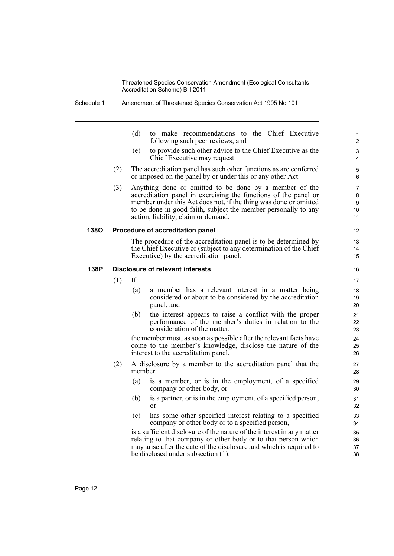(d) to make recommendations to the Chief Executive following such peer reviews, and

- (e) to provide such other advice to the Chief Executive as the Chief Executive may request.
- (2) The accreditation panel has such other functions as are conferred or imposed on the panel by or under this or any other Act.
- (3) Anything done or omitted to be done by a member of the accreditation panel in exercising the functions of the panel or member under this Act does not, if the thing was done or omitted to be done in good faith, subject the member personally to any action, liability, claim or demand.

#### **138O Procedure of accreditation panel**

The procedure of the accreditation panel is to be determined by the Chief Executive or (subject to any determination of the Chief Executive) by the accreditation panel.

#### **138P Disclosure of relevant interests**

(1) If:

- (a) a member has a relevant interest in a matter being considered or about to be considered by the accreditation panel, and
- (b) the interest appears to raise a conflict with the proper performance of the member's duties in relation to the consideration of the matter,

the member must, as soon as possible after the relevant facts have come to the member's knowledge, disclose the nature of the interest to the accreditation panel.

- (2) A disclosure by a member to the accreditation panel that the member:
	- (a) is a member, or is in the employment, of a specified company or other body, or
	- (b) is a partner, or is in the employment, of a specified person, or
	- (c) has some other specified interest relating to a specified company or other body or to a specified person,

is a sufficient disclosure of the nature of the interest in any matter relating to that company or other body or to that person which may arise after the date of the disclosure and which is required to be disclosed under subsection (1).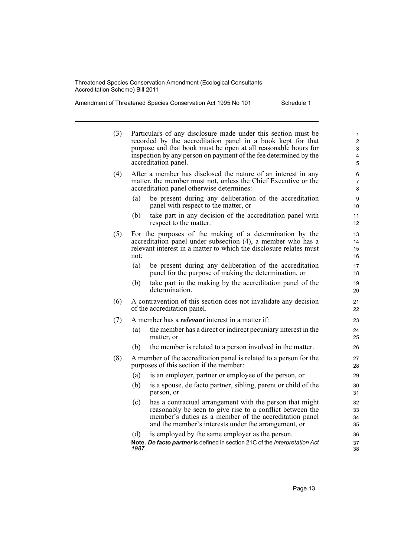Amendment of Threatened Species Conservation Act 1995 No 101 Schedule 1

| (3) |              | Particulars of any disclosure made under this section must be<br>recorded by the accreditation panel in a book kept for that<br>purpose and that book must be open at all reasonable hours for<br>inspection by any person on payment of the fee determined by the<br>accreditation panel. | 1<br>$\overline{c}$<br>3<br>4<br>5 |
|-----|--------------|--------------------------------------------------------------------------------------------------------------------------------------------------------------------------------------------------------------------------------------------------------------------------------------------|------------------------------------|
| (4) |              | After a member has disclosed the nature of an interest in any<br>matter, the member must not, unless the Chief Executive or the<br>accreditation panel otherwise determines:                                                                                                               | 6<br>$\overline{7}$<br>8           |
|     | (a)          | be present during any deliberation of the accreditation<br>panel with respect to the matter, or                                                                                                                                                                                            | 9<br>10                            |
|     | (b)          | take part in any decision of the accreditation panel with<br>respect to the matter.                                                                                                                                                                                                        | 11<br>12                           |
| (5) | not:         | For the purposes of the making of a determination by the<br>accreditation panel under subsection (4), a member who has a<br>relevant interest in a matter to which the disclosure relates must                                                                                             | 13<br>14<br>15<br>16               |
|     | (a)<br>(b)   | be present during any deliberation of the accreditation<br>panel for the purpose of making the determination, or<br>take part in the making by the accreditation panel of the<br>determination.                                                                                            | 17<br>18<br>19<br>20               |
| (6) |              | A contravention of this section does not invalidate any decision<br>of the accreditation panel.                                                                                                                                                                                            | 21<br>22                           |
| (7) |              | A member has a <i>relevant</i> interest in a matter if:                                                                                                                                                                                                                                    | 23                                 |
|     | (a)          | the member has a direct or indirect pecuniary interest in the<br>matter, or                                                                                                                                                                                                                | 24<br>25                           |
|     | (b)          | the member is related to a person involved in the matter.                                                                                                                                                                                                                                  | 26                                 |
| (8) |              | A member of the accreditation panel is related to a person for the<br>purposes of this section if the member:                                                                                                                                                                              | 27<br>28                           |
|     | (a)          | is an employer, partner or employee of the person, or                                                                                                                                                                                                                                      | 29                                 |
|     | (b)          | is a spouse, de facto partner, sibling, parent or child of the<br>person, or                                                                                                                                                                                                               | 30<br>31                           |
|     | (c)          | has a contractual arrangement with the person that might<br>reasonably be seen to give rise to a conflict between the<br>member's duties as a member of the accreditation panel<br>and the member's interests under the arrangement, or                                                    | 32<br>33<br>34<br>35               |
|     | (d)<br>1987. | is employed by the same employer as the person.<br>Note. De facto partner is defined in section 21C of the Interpretation Act                                                                                                                                                              | 36<br>37<br>38                     |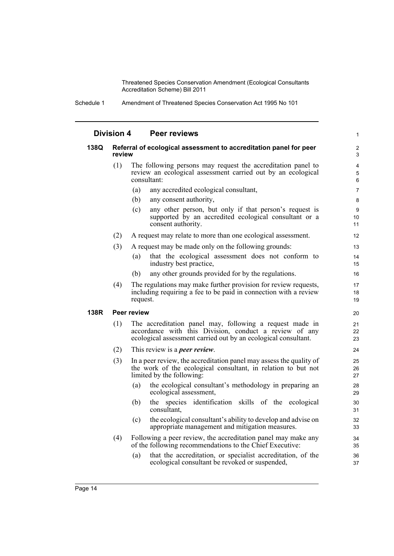Schedule 1 Amendment of Threatened Species Conservation Act 1995 No 101

| <b>Division 4</b> |        | <b>Peer reviews</b>                                                                                                                                                                  | 1              |
|-------------------|--------|--------------------------------------------------------------------------------------------------------------------------------------------------------------------------------------|----------------|
| 138Q              | review | Referral of ecological assessment to accreditation panel for peer                                                                                                                    | 2<br>3         |
|                   | (1)    | The following persons may request the accreditation panel to<br>review an ecological assessment carried out by an ecological<br>consultant:                                          | 4<br>5<br>6    |
|                   |        | (a)<br>any accredited ecological consultant,                                                                                                                                         | $\overline{7}$ |
|                   |        | (b)<br>any consent authority,                                                                                                                                                        | 8              |
|                   |        | any other person, but only if that person's request is<br>(c)<br>supported by an accredited ecological consultant or a<br>consent authority.                                         | 9<br>10<br>11  |
|                   | (2)    | A request may relate to more than one ecological assessment.                                                                                                                         | 12             |
|                   | (3)    | A request may be made only on the following grounds:                                                                                                                                 | 13             |
|                   |        | that the ecological assessment does not conform to<br>(a)<br>industry best practice,                                                                                                 | 14<br>15       |
|                   |        | any other grounds provided for by the regulations.<br>(b)                                                                                                                            | 16             |
|                   | (4)    | The regulations may make further provision for review requests,<br>including requiring a fee to be paid in connection with a review<br>request.                                      | 17<br>18<br>19 |
| 138R              |        | Peer review                                                                                                                                                                          | 20             |
|                   | (1)    | The accreditation panel may, following a request made in<br>accordance with this Division, conduct a review of any<br>ecological assessment carried out by an ecological consultant. | 21<br>22<br>23 |
|                   | (2)    | This review is a <i>peer review</i> .                                                                                                                                                | 24             |
|                   | (3)    | In a peer review, the accreditation panel may assess the quality of<br>the work of the ecological consultant, in relation to but not<br>limited by the following:                    | 25<br>26<br>27 |
|                   |        | the ecological consultant's methodology in preparing an<br>(a)<br>ecological assessment,                                                                                             | 28<br>29       |
|                   |        | the species identification skills of the ecological<br>(b)<br>consultant,                                                                                                            | 30<br>31       |
|                   |        | the ecological consultant's ability to develop and advise on<br>(c)<br>appropriate management and mitigation measures.                                                               | 32<br>33       |
|                   | (4)    | Following a peer review, the accreditation panel may make any<br>of the following recommendations to the Chief Executive:                                                            | 34<br>35       |
|                   |        | that the accreditation, or specialist accreditation, of the<br>(a)<br>ecological consultant be revoked or suspended,                                                                 | 36<br>37       |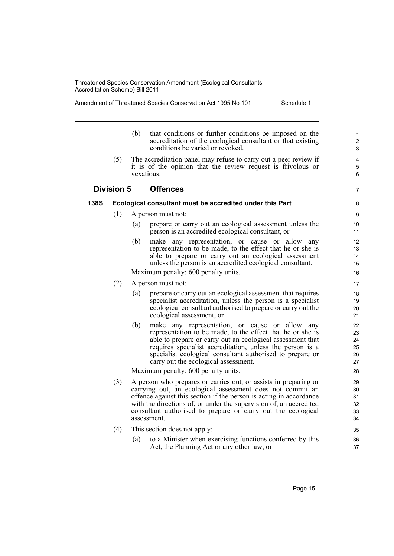Amendment of Threatened Species Conservation Act 1995 No 101 Schedule 1

- (b) that conditions or further conditions be imposed on the accreditation of the ecological consultant or that existing conditions be varied or revoked.
- (5) The accreditation panel may refuse to carry out a peer review if it is of the opinion that the review request is frivolous or vexatious.

## **Division 5 Offences**

### **138S Ecological consultant must be accredited under this Part**

- (1) A person must not:
	- (a) prepare or carry out an ecological assessment unless the person is an accredited ecological consultant, or
	- (b) make any representation, or cause or allow any representation to be made, to the effect that he or she is able to prepare or carry out an ecological assessment unless the person is an accredited ecological consultant.

Maximum penalty: 600 penalty units.

- (2) A person must not:
	- (a) prepare or carry out an ecological assessment that requires specialist accreditation, unless the person is a specialist ecological consultant authorised to prepare or carry out the ecological assessment, or
	- (b) make any representation, or cause or allow any representation to be made, to the effect that he or she is able to prepare or carry out an ecological assessment that requires specialist accreditation, unless the person is a specialist ecological consultant authorised to prepare or carry out the ecological assessment.

Maximum penalty: 600 penalty units.

- (3) A person who prepares or carries out, or assists in preparing or carrying out, an ecological assessment does not commit an offence against this section if the person is acting in accordance with the directions of, or under the supervision of, an accredited consultant authorised to prepare or carry out the ecological assessment.
- (4) This section does not apply:
	- (a) to a Minister when exercising functions conferred by this Act, the Planning Act or any other law, or

7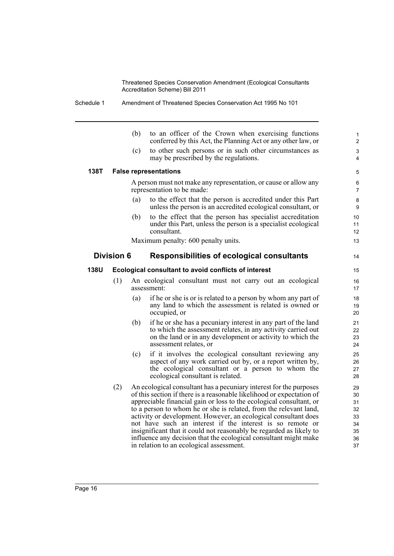|      |                                                                 | (b)                                                                                                                                                                                                                                                                                                                                                                                                                                                                                                                                                                                                            | to an officer of the Crown when exercising functions<br>conferred by this Act, the Planning Act or any other law, or                                                                                                  | 1<br>$\overline{2}$         |  |  |  |
|------|-----------------------------------------------------------------|----------------------------------------------------------------------------------------------------------------------------------------------------------------------------------------------------------------------------------------------------------------------------------------------------------------------------------------------------------------------------------------------------------------------------------------------------------------------------------------------------------------------------------------------------------------------------------------------------------------|-----------------------------------------------------------------------------------------------------------------------------------------------------------------------------------------------------------------------|-----------------------------|--|--|--|
|      |                                                                 | (c)                                                                                                                                                                                                                                                                                                                                                                                                                                                                                                                                                                                                            | to other such persons or in such other circumstances as<br>may be prescribed by the regulations.                                                                                                                      | 3<br>4                      |  |  |  |
| 138T |                                                                 |                                                                                                                                                                                                                                                                                                                                                                                                                                                                                                                                                                                                                | <b>False representations</b>                                                                                                                                                                                          | 5                           |  |  |  |
|      |                                                                 |                                                                                                                                                                                                                                                                                                                                                                                                                                                                                                                                                                                                                | A person must not make any representation, or cause or allow any<br>representation to be made:                                                                                                                        |                             |  |  |  |
|      |                                                                 | (a)                                                                                                                                                                                                                                                                                                                                                                                                                                                                                                                                                                                                            | to the effect that the person is accredited under this Part<br>unless the person is an accredited ecological consultant, or                                                                                           | 8<br>9                      |  |  |  |
|      |                                                                 | (b)                                                                                                                                                                                                                                                                                                                                                                                                                                                                                                                                                                                                            | to the effect that the person has specialist accreditation<br>under this Part, unless the person is a specialist ecological<br>consultant.                                                                            | 10<br>11<br>12 <sup>2</sup> |  |  |  |
|      |                                                                 | Maximum penalty: 600 penalty units.                                                                                                                                                                                                                                                                                                                                                                                                                                                                                                                                                                            | 13                                                                                                                                                                                                                    |                             |  |  |  |
|      | <b>Division 6</b><br>Responsibilities of ecological consultants |                                                                                                                                                                                                                                                                                                                                                                                                                                                                                                                                                                                                                |                                                                                                                                                                                                                       |                             |  |  |  |
| 138U |                                                                 |                                                                                                                                                                                                                                                                                                                                                                                                                                                                                                                                                                                                                | Ecological consultant to avoid conflicts of interest                                                                                                                                                                  | 15                          |  |  |  |
|      | (1)                                                             | An ecological consultant must not carry out an ecological<br>assessment:                                                                                                                                                                                                                                                                                                                                                                                                                                                                                                                                       |                                                                                                                                                                                                                       |                             |  |  |  |
|      |                                                                 | (a)                                                                                                                                                                                                                                                                                                                                                                                                                                                                                                                                                                                                            | if he or she is or is related to a person by whom any part of<br>any land to which the assessment is related is owned or<br>occupied, or                                                                              | 18<br>19<br>20              |  |  |  |
|      |                                                                 | (b)                                                                                                                                                                                                                                                                                                                                                                                                                                                                                                                                                                                                            | if he or she has a pecuniary interest in any part of the land<br>to which the assessment relates, in any activity carried out<br>on the land or in any development or activity to which the<br>assessment relates, or | 21<br>22<br>23<br>24        |  |  |  |
|      |                                                                 | (c)                                                                                                                                                                                                                                                                                                                                                                                                                                                                                                                                                                                                            | if it involves the ecological consultant reviewing any<br>aspect of any work carried out by, or a report written by,<br>the ecological consultant or a person to whom the<br>ecological consultant is related.        | 25<br>26<br>27<br>28        |  |  |  |
|      | (2)                                                             | An ecological consultant has a pecuniary interest for the purposes<br>of this section if there is a reasonable likelihood or expectation of<br>appreciable financial gain or loss to the ecological consultant, or<br>to a person to whom he or she is related, from the relevant land,<br>activity or development. However, an ecological consultant does<br>not have such an interest if the interest is so remote or<br>insignificant that it could not reasonably be regarded as likely to<br>influence any decision that the ecological consultant might make<br>in relation to an ecological assessment. |                                                                                                                                                                                                                       |                             |  |  |  |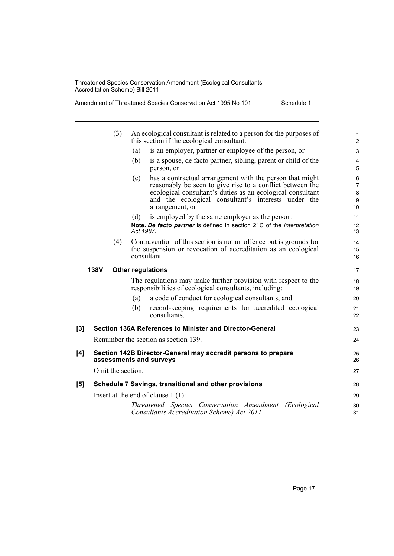Amendment of Threatened Species Conservation Act 1995 No 101 Schedule 1

|     |             | (3)                                                                                      |           | An ecological consultant is related to a person for the purposes of<br>this section if the ecological consultant:                                                                                                                                             |  |  |  |
|-----|-------------|------------------------------------------------------------------------------------------|-----------|---------------------------------------------------------------------------------------------------------------------------------------------------------------------------------------------------------------------------------------------------------------|--|--|--|
|     |             |                                                                                          | (a)       | is an employer, partner or employee of the person, or                                                                                                                                                                                                         |  |  |  |
|     |             |                                                                                          | (b)       | is a spouse, de facto partner, sibling, parent or child of the<br>person, or                                                                                                                                                                                  |  |  |  |
|     |             |                                                                                          | (c)       | has a contractual arrangement with the person that might<br>reasonably be seen to give rise to a conflict between the<br>ecological consultant's duties as an ecological consultant<br>and the ecological consultant's interests under the<br>arrangement, or |  |  |  |
|     |             |                                                                                          | (d)       | is employed by the same employer as the person.                                                                                                                                                                                                               |  |  |  |
|     |             |                                                                                          | Act 1987. | Note. De facto partner is defined in section 21C of the Interpretation                                                                                                                                                                                        |  |  |  |
|     |             | (4)                                                                                      |           | Contravention of this section is not an offence but is grounds for<br>the suspension or revocation of accreditation as an ecological<br>consultant.                                                                                                           |  |  |  |
|     | <b>138V</b> |                                                                                          |           | <b>Other regulations</b>                                                                                                                                                                                                                                      |  |  |  |
|     |             |                                                                                          |           | The regulations may make further provision with respect to the<br>responsibilities of ecological consultants, including:                                                                                                                                      |  |  |  |
|     |             |                                                                                          | (a)       | a code of conduct for ecological consultants, and                                                                                                                                                                                                             |  |  |  |
|     |             |                                                                                          | (b)       | record-keeping requirements for accredited ecological<br>consultants.                                                                                                                                                                                         |  |  |  |
| [3] |             |                                                                                          |           | Section 136A References to Minister and Director-General                                                                                                                                                                                                      |  |  |  |
|     |             |                                                                                          |           | Renumber the section as section 139.                                                                                                                                                                                                                          |  |  |  |
| [4] |             | Section 142B Director-General may accredit persons to prepare<br>assessments and surveys |           |                                                                                                                                                                                                                                                               |  |  |  |
|     |             | Omit the section.                                                                        |           |                                                                                                                                                                                                                                                               |  |  |  |
| [5] |             |                                                                                          |           | Schedule 7 Savings, transitional and other provisions                                                                                                                                                                                                         |  |  |  |
|     |             |                                                                                          |           | Insert at the end of clause $1(1)$ :                                                                                                                                                                                                                          |  |  |  |
|     |             |                                                                                          |           | Threatened Species Conservation Amendment<br><i>(Ecological</i> )<br>Consultants Accreditation Scheme) Act 2011                                                                                                                                               |  |  |  |
|     |             |                                                                                          |           |                                                                                                                                                                                                                                                               |  |  |  |